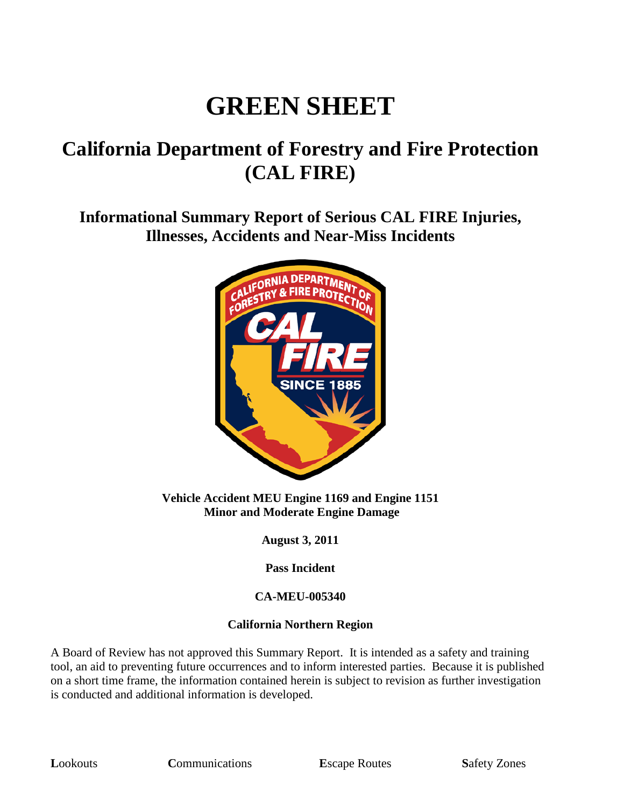# **GREEN SHEET**

## **California Department of Forestry and Fire Protection (CAL FIRE)**

**Informational Summary Report of Serious CAL FIRE Injuries, Illnesses, Accidents and Near-Miss Incidents**



**Vehicle Accident MEU Engine 1169 and Engine 1151 Minor and Moderate Engine Damage**

**August 3, 2011**

**Pass Incident**

### **CA-MEU-005340**

### **California Northern Region**

A Board of Review has not approved this Summary Report. It is intended as a safety and training tool, an aid to preventing future occurrences and to inform interested parties. Because it is published on a short time frame, the information contained herein is subject to revision as further investigation is conducted and additional information is developed.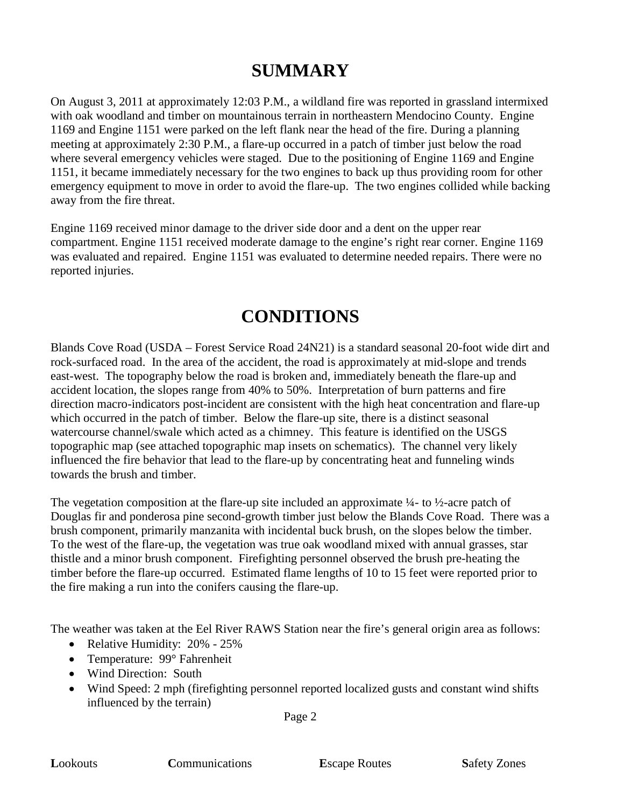## **SUMMARY**

On August 3, 2011 at approximately 12:03 P.M., a wildland fire was reported in grassland intermixed with oak woodland and timber on mountainous terrain in northeastern Mendocino County. Engine 1169 and Engine 1151 were parked on the left flank near the head of the fire. During a planning meeting at approximately 2:30 P.M., a flare-up occurred in a patch of timber just below the road where several emergency vehicles were staged. Due to the positioning of Engine 1169 and Engine 1151, it became immediately necessary for the two engines to back up thus providing room for other emergency equipment to move in order to avoid the flare-up. The two engines collided while backing away from the fire threat.

Engine 1169 received minor damage to the driver side door and a dent on the upper rear compartment. Engine 1151 received moderate damage to the engine's right rear corner. Engine 1169 was evaluated and repaired. Engine 1151 was evaluated to determine needed repairs. There were no reported injuries.

## **CONDITIONS**

Blands Cove Road (USDA – Forest Service Road 24N21) is a standard seasonal 20-foot wide dirt and rock-surfaced road. In the area of the accident, the road is approximately at mid-slope and trends east-west. The topography below the road is broken and, immediately beneath the flare-up and accident location, the slopes range from 40% to 50%. Interpretation of burn patterns and fire direction macro-indicators post-incident are consistent with the high heat concentration and flare-up which occurred in the patch of timber. Below the flare-up site, there is a distinct seasonal watercourse channel/swale which acted as a chimney. This feature is identified on the USGS topographic map (see attached topographic map insets on schematics). The channel very likely influenced the fire behavior that lead to the flare-up by concentrating heat and funneling winds towards the brush and timber.

The vegetation composition at the flare-up site included an approximate  $\frac{1}{4}$ - to  $\frac{1}{2}$ -acre patch of Douglas fir and ponderosa pine second-growth timber just below the Blands Cove Road. There was a brush component, primarily manzanita with incidental buck brush, on the slopes below the timber. To the west of the flare-up, the vegetation was true oak woodland mixed with annual grasses, star thistle and a minor brush component. Firefighting personnel observed the brush pre-heating the timber before the flare-up occurred. Estimated flame lengths of 10 to 15 feet were reported prior to the fire making a run into the conifers causing the flare-up.

The weather was taken at the Eel River RAWS Station near the fire's general origin area as follows:

- Relative Humidity: 20% 25%
- Temperature: 99° Fahrenheit
- Wind Direction: South
- Wind Speed: 2 mph (firefighting personnel reported localized gusts and constant wind shifts influenced by the terrain)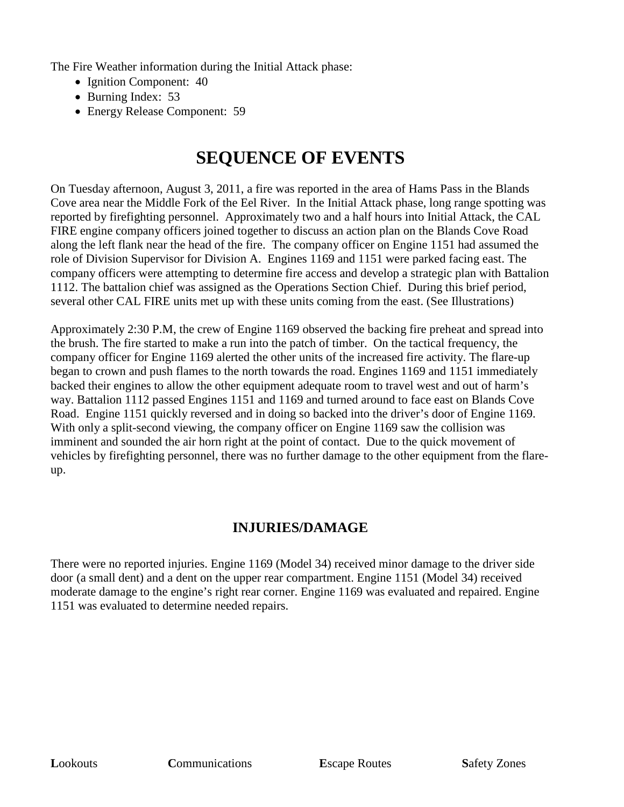The Fire Weather information during the Initial Attack phase:

- Ignition Component: 40
- Burning Index: 53
- Energy Release Component: 59

## **SEQUENCE OF EVENTS**

On Tuesday afternoon, August 3, 2011, a fire was reported in the area of Hams Pass in the Blands Cove area near the Middle Fork of the Eel River. In the Initial Attack phase, long range spotting was reported by firefighting personnel. Approximately two and a half hours into Initial Attack, the CAL FIRE engine company officers joined together to discuss an action plan on the Blands Cove Road along the left flank near the head of the fire. The company officer on Engine 1151 had assumed the role of Division Supervisor for Division A. Engines 1169 and 1151 were parked facing east. The company officers were attempting to determine fire access and develop a strategic plan with Battalion 1112. The battalion chief was assigned as the Operations Section Chief. During this brief period, several other CAL FIRE units met up with these units coming from the east. (See Illustrations)

Approximately 2:30 P.M, the crew of Engine 1169 observed the backing fire preheat and spread into the brush. The fire started to make a run into the patch of timber. On the tactical frequency, the company officer for Engine 1169 alerted the other units of the increased fire activity. The flare-up began to crown and push flames to the north towards the road. Engines 1169 and 1151 immediately backed their engines to allow the other equipment adequate room to travel west and out of harm's way. Battalion 1112 passed Engines 1151 and 1169 and turned around to face east on Blands Cove Road. Engine 1151 quickly reversed and in doing so backed into the driver's door of Engine 1169. With only a split-second viewing, the company officer on Engine 1169 saw the collision was imminent and sounded the air horn right at the point of contact. Due to the quick movement of vehicles by firefighting personnel, there was no further damage to the other equipment from the flareup.

### **INJURIES/DAMAGE**

There were no reported injuries. Engine 1169 (Model 34) received minor damage to the driver side door (a small dent) and a dent on the upper rear compartment. Engine 1151 (Model 34) received moderate damage to the engine's right rear corner. Engine 1169 was evaluated and repaired. Engine 1151 was evaluated to determine needed repairs.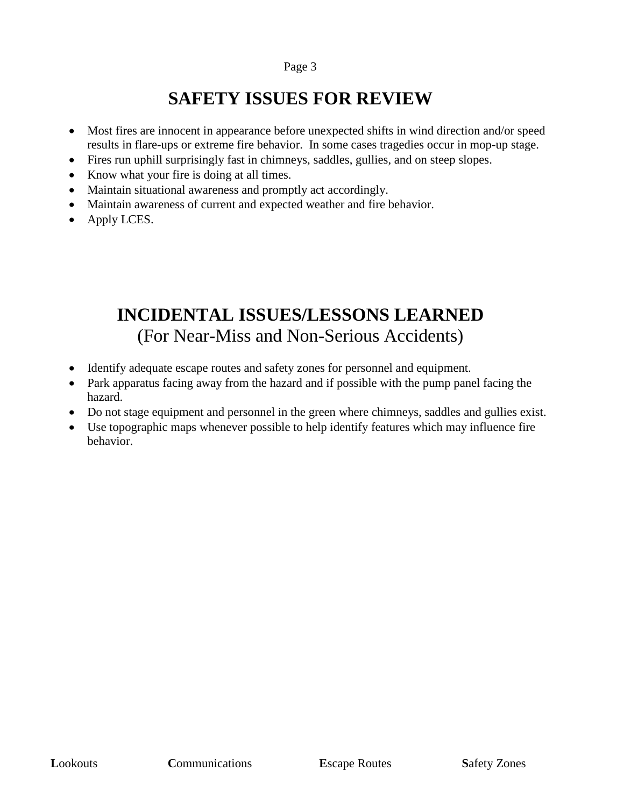## **SAFETY ISSUES FOR REVIEW**

- Most fires are innocent in appearance before unexpected shifts in wind direction and/or speed results in flare-ups or extreme fire behavior. In some cases tragedies occur in mop-up stage.
- Fires run uphill surprisingly fast in chimneys, saddles, gullies, and on steep slopes.
- Know what your fire is doing at all times.
- Maintain situational awareness and promptly act accordingly.
- Maintain awareness of current and expected weather and fire behavior.
- Apply LCES.

## **INCIDENTAL ISSUES/LESSONS LEARNED** (For Near-Miss and Non-Serious Accidents)

- Identify adequate escape routes and safety zones for personnel and equipment.
- Park apparatus facing away from the hazard and if possible with the pump panel facing the hazard.
- Do not stage equipment and personnel in the green where chimneys, saddles and gullies exist.
- Use topographic maps whenever possible to help identify features which may influence fire behavior.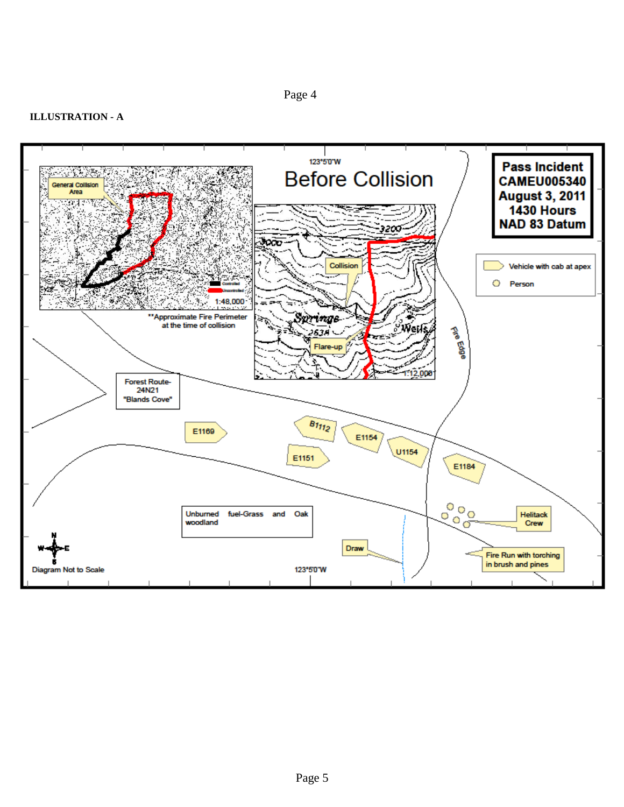#### **ILLUSTRATION - A**

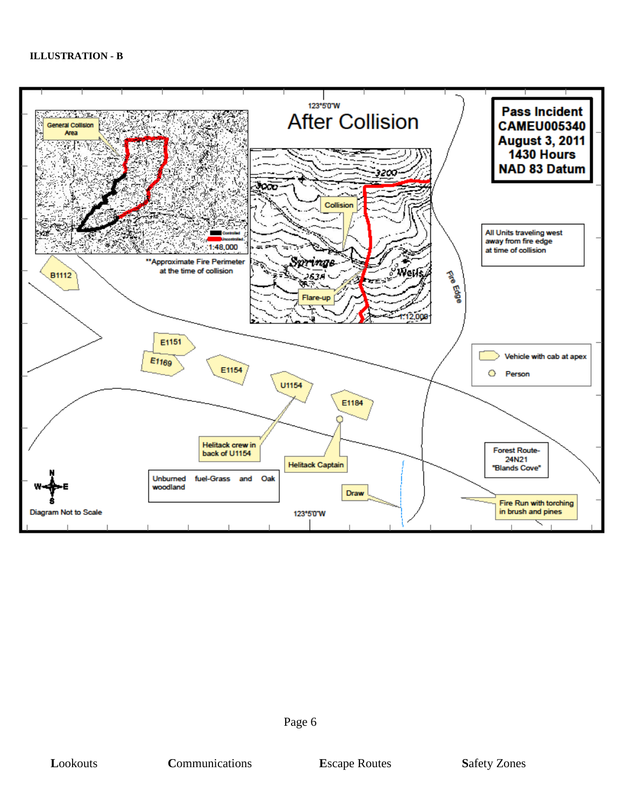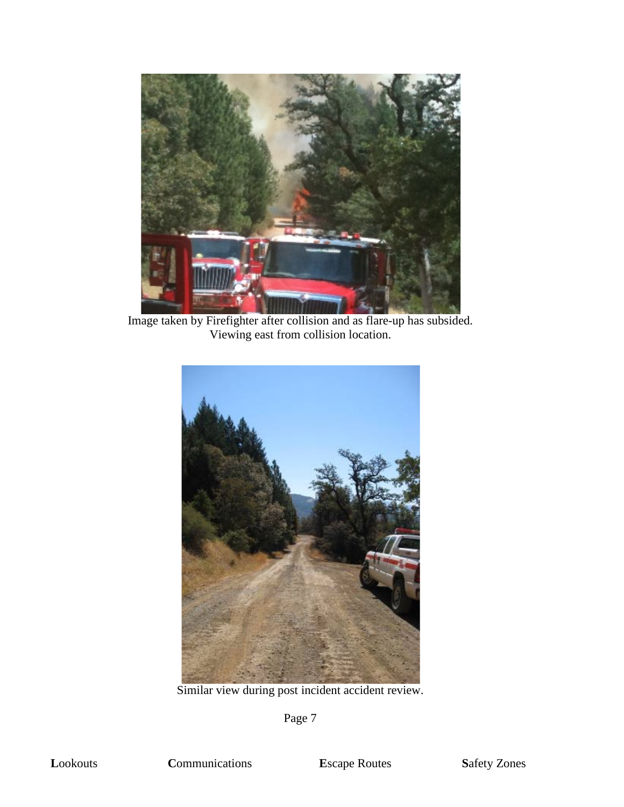

Image taken by Firefighter after collision and as flare-up has subsided. Viewing east from collision location.



Similar view during post incident accident review.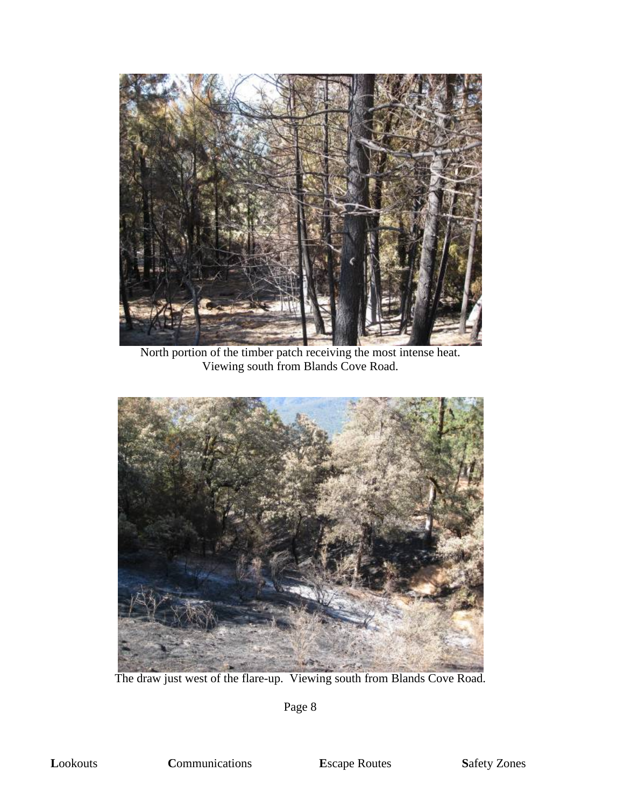

North portion of the timber patch receiving the most intense heat. Viewing south from Blands Cove Road.



The draw just west of the flare-up. Viewing south from Blands Cove Road.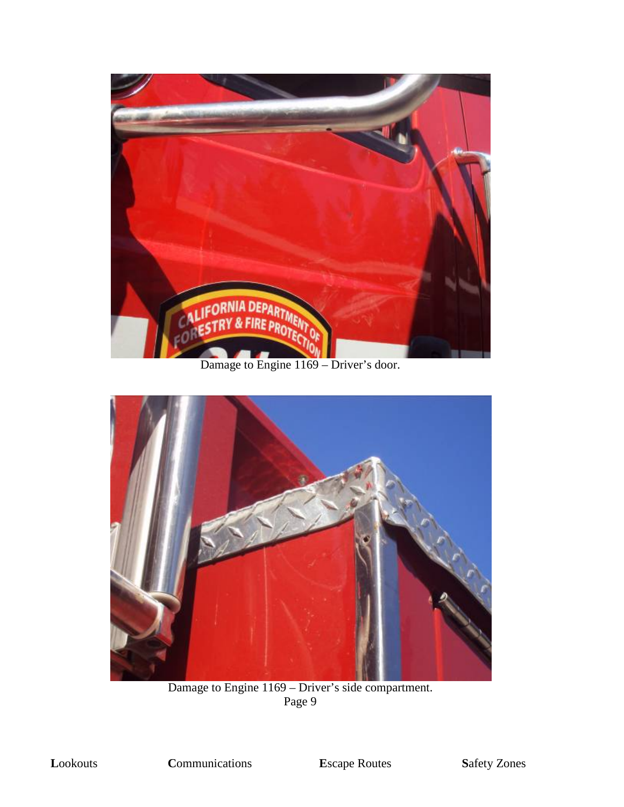

Damage to Engine 1169 – Driver's door.



Damage to Engine 1169 – Driver's side compartment.<br>Page 9